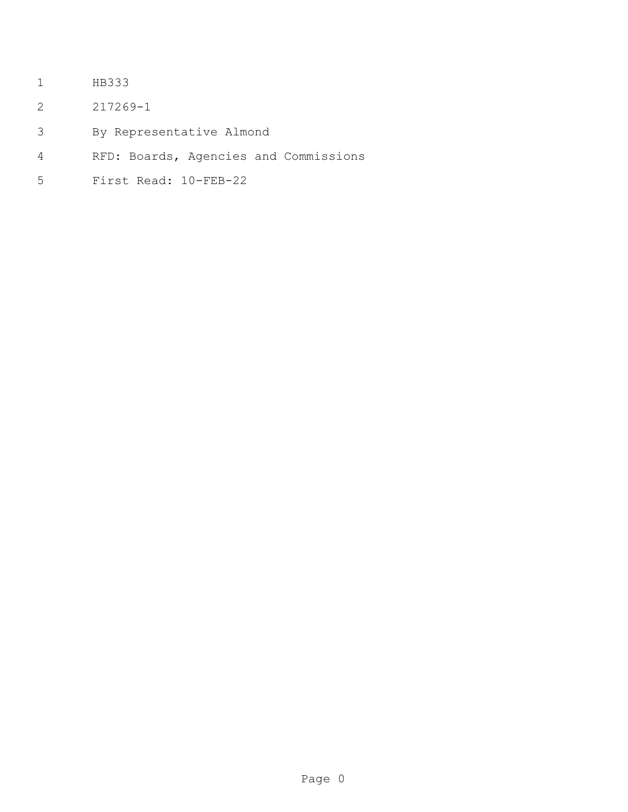- HB333
- 217269-1
- By Representative Almond
- RFD: Boards, Agencies and Commissions
- First Read: 10-FEB-22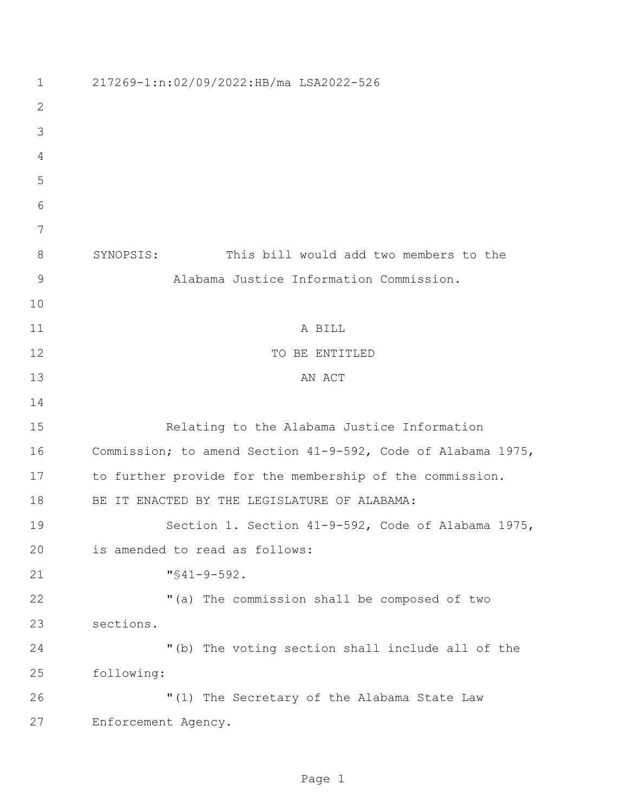| 1  | 217269-1:n:02/09/2022:HB/ma LSA2022-526                      |
|----|--------------------------------------------------------------|
| 2  |                                                              |
| 3  |                                                              |
| 4  |                                                              |
| 5  |                                                              |
| 6  |                                                              |
| 7  |                                                              |
| 8  | This bill would add two members to the<br>SYNOPSIS:          |
| 9  | Alabama Justice Information Commission.                      |
| 10 |                                                              |
| 11 | A BILL                                                       |
| 12 | TO BE ENTITLED                                               |
| 13 | AN ACT                                                       |
| 14 |                                                              |
| 15 | Relating to the Alabama Justice Information                  |
| 16 | Commission; to amend Section 41-9-592, Code of Alabama 1975, |
| 17 | to further provide for the membership of the commission.     |
| 18 | BE IT ENACTED BY THE LEGISLATURE OF ALABAMA:                 |
| 19 | Section 1. Section 41-9-592, Code of Alabama 1975,           |
| 20 | is amended to read as follows:                               |
| 21 | $\sqrt{941-9-592}$ .                                         |
| 22 | "(a) The commission shall be composed of two                 |
| 23 | sections.                                                    |
| 24 | "(b) The voting section shall include all of the             |
| 25 | following:                                                   |
| 26 | "(1) The Secretary of the Alabama State Law                  |
| 27 | Enforcement Agency.                                          |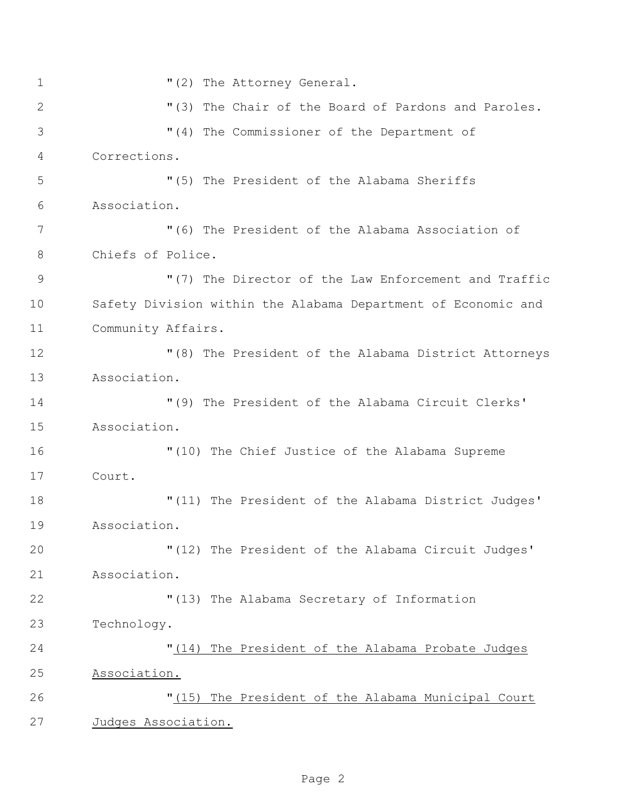$(2)$  The Attorney General. 2 "(3) The Chair of the Board of Pardons and Paroles. "(4) The Commissioner of the Department of Corrections. "(5) The President of the Alabama Sheriffs Association. "(6) The President of the Alabama Association of Chiefs of Police. 9 "(7) The Director of the Law Enforcement and Traffic Safety Division within the Alabama Department of Economic and Community Affairs. "(8) The President of the Alabama District Attorneys Association. "(9) The President of the Alabama Circuit Clerks' Association. "(10) The Chief Justice of the Alabama Supreme Court. "(11) The President of the Alabama District Judges' Association. "(12) The President of the Alabama Circuit Judges' Association. "(13) The Alabama Secretary of Information Technology. "(14) The President of the Alabama Probate Judges Association. "(15) The President of the Alabama Municipal Court Judges Association.